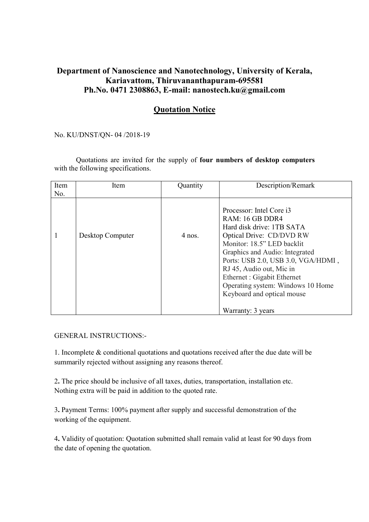## Department of Nanoscience and Nanotechnology, University of Kerala, Kariavattom, Thiruvananthapuram-695581 Ph.No. 0471 2308863, E-mail: nanostech.ku@gmail.com

## Quotation Notice

No. KU/DNST/QN- 04 /2018-19

Quotations are invited for the supply of four numbers of desktop computers with the following specifications.

| Item | Item             | Quantity | Description/Remark                                                                                                                                                                                                                                                                                                                                            |
|------|------------------|----------|---------------------------------------------------------------------------------------------------------------------------------------------------------------------------------------------------------------------------------------------------------------------------------------------------------------------------------------------------------------|
| No.  |                  |          |                                                                                                                                                                                                                                                                                                                                                               |
|      | Desktop Computer | $4$ nos. | Processor: Intel Core i3<br>RAM: 16 GB DDR4<br>Hard disk drive: 1TB SATA<br>Optical Drive: CD/DVD RW<br>Monitor: 18.5" LED backlit<br>Graphics and Audio: Integrated<br>Ports: USB 2.0, USB 3.0, VGA/HDMI,<br>RJ 45, Audio out, Mic in<br>Ethernet : Gigabit Ethernet<br>Operating system: Windows 10 Home<br>Keyboard and optical mouse<br>Warranty: 3 years |

GENERAL INSTRUCTIONS:-

1. Incomplete & conditional quotations and quotations received after the due date will be summarily rejected without assigning any reasons thereof.

2. The price should be inclusive of all taxes, duties, transportation, installation etc. Nothing extra will be paid in addition to the quoted rate.

3. Payment Terms: 100% payment after supply and successful demonstration of the working of the equipment.

4. Validity of quotation: Quotation submitted shall remain valid at least for 90 days from the date of opening the quotation.